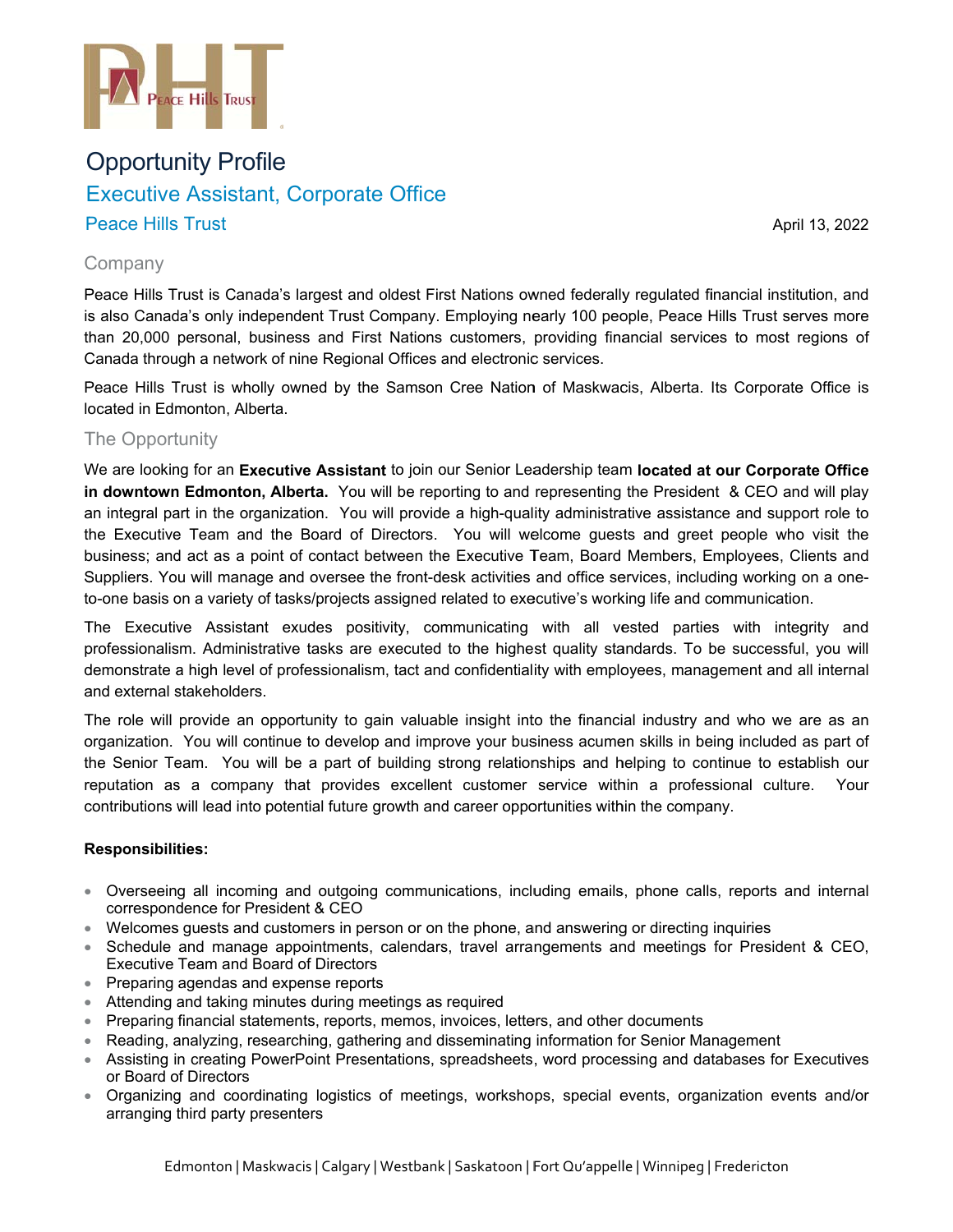

# Opportunity Profile Executive Assistant, Corporate Office P Peace Hills Trust Executive Assistant, Corporate Office<br>Peace Hills Trust April 13, 2022<br>Company<br>Peace Hills Trust is Canada's largest and oldest First Nations owned federally regulated financial institution, and

Apri l 13, 2022

## C Company

is also Canada's only independent Trust Company. Employing nearly 100 people, Peace Hills Trust serves more than 20,000 personal, business and First Nations customers, providing financial services to most regions of Canada through a network of nine Regional Offices and electronic services.

Peace Hills Trust is wholly owned by the Samson Cree Nation of Maskwacis, Alberta. Its Corporate Office is located in Edmonton, Alberta.

# The Opportunity

We are looking for an Executive Assistant to join our Senior Leadership team located at our Corporate Office **in downtown Edmonton, Alberta.** You will be reporting to and representing the President & CEO and will play an integral part in the organization. You will provide a high-quality administrative assistance and support role to the Executive Team and the Board of Directors. You will welcome guests and greet people who visit the business; and act as a point of contact between the Executive Team, Board Members, Employees, Clients and Suppliers. You will manage and oversee the front-desk activities and office services, including working on a oneto-one basis on a variety of tasks/projects assigned related to executive's working life and communication.

The Executive Assistant exudes positivity, communicating with all vested parties with integrity and professionalism. Administrative tasks are executed to the highest quality standards. To be successful, you will demonstrate a high level of professionalism, tact and confidentiality with employees, management and all internal and external stakeholders.

The role will provide an opportunity to gain valuable insight into the financial industry and who we are as an organization. You will continue to develop and improve your business acumen skills in being included as part of the Senior Team. You will be a part of building strong relationships and helping to continue to establish our reputation as a company that provides excellent customer service within a professional cultur contributions will lead into potential future growth and career opportunities within the company. **Your** 

## **R Responsibilit ties:**

- Overseeing all incoming and outgoing communications, including emails, phone calls, reports and internal correspondence for President & CEO<br>● Welcomes guests and customers in person or on the phone, and answering or directing inquiries correspondence for President & CEO
- 
- Schedule and manage appointments, calendars, travel arrangements and meetings for President & CEO, Executive Team and Board of Directors
- Preparing agendas and expense reports
- Attending and taking minutes during meetings as required
- Preparing financial statements, reports, memos, invoices, letters, and other documents
- $\bullet$  Reading, analyzing, researching, gathering and disseminating information for Senior Management
- Assisting in creating PowerPoint Presentations, spreadsheets, word processing and databases for Executives or Board of Directors
- Organizing and coordinating logistics of meetings, workshops, special events, organization events and/or arranging third party presenters